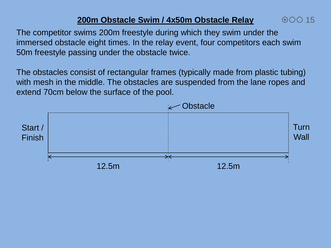## **200m Obstacle Swim / 4x50m Obstacle Relay**

00015

The competitor swims 200m freestyle during which they swim under the immersed obstacle eight times. In the relay event, four competitors each swim 50m freestyle passing under the obstacle twice.

The obstacles consist of rectangular frames (typically made from plastic tubing) with mesh in the middle. The obstacles are suspended from the lane ropes and extend 70cm below the surface of the pool.

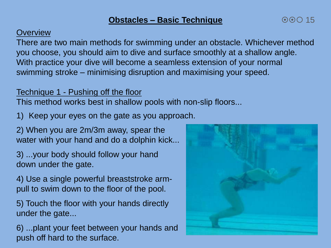## **Overview**

There are two main methods for swimming under an obstacle. Whichever method you choose, you should aim to dive and surface smoothly at a shallow angle. With practice your dive will become a seamless extension of your normal swimming stroke – minimising disruption and maximising your speed.

## Technique 1 - Pushing off the floor

This method works best in shallow pools with non-slip floors...

1) Keep your eyes on the gate as you approach.

2) When you are 2m/3m away, spear the water with your hand and do a dolphin kick...

3) ...your body should follow your hand down under the gate.

4) Use a single powerful breaststroke armpull to swim down to the floor of the pool.

5) Touch the floor with your hands directly under the gate...

6) ...plant your feet between your hands and push off hard to the surface.